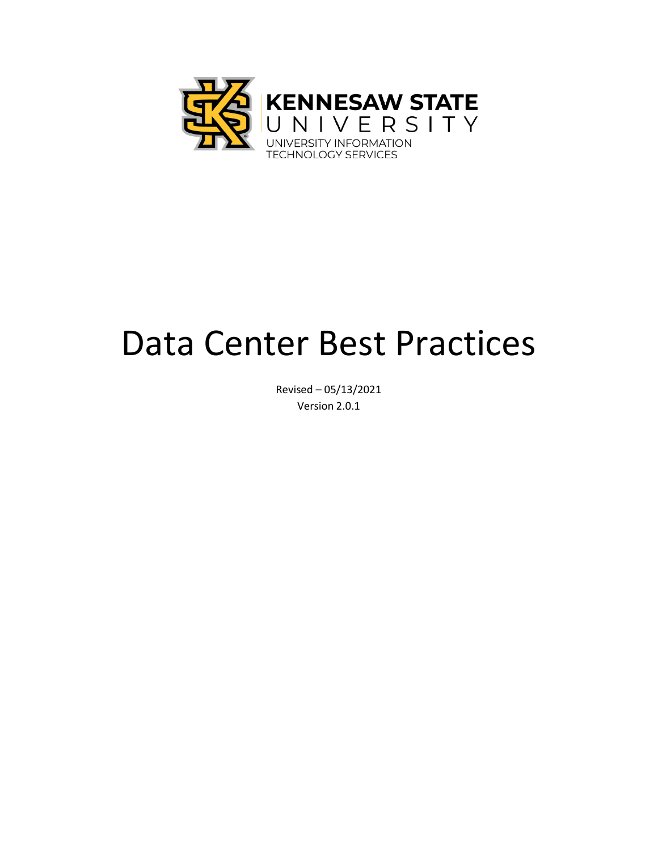

# Data Center Best Practices

Revised – 05/13/2021 Version 2.0.1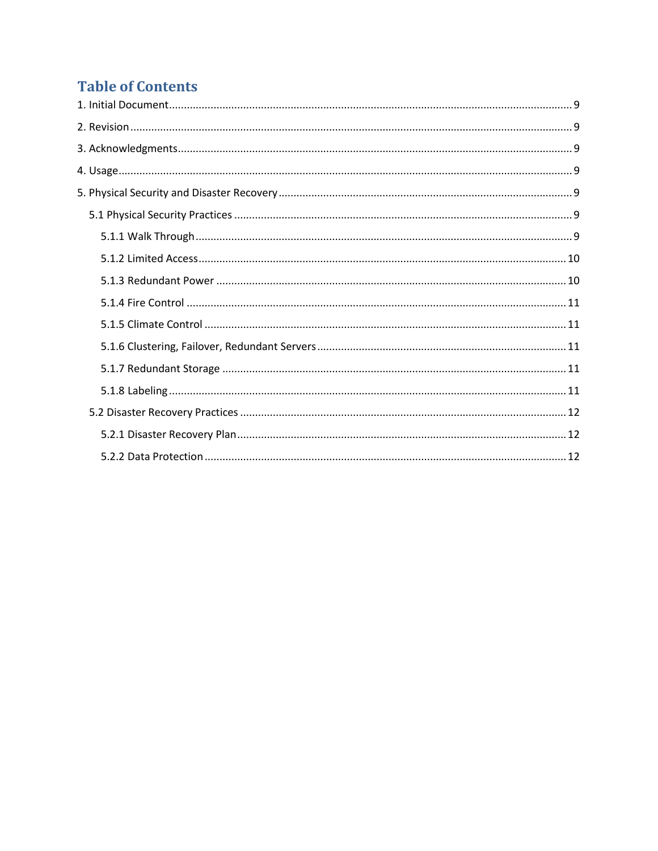# **Table of Contents**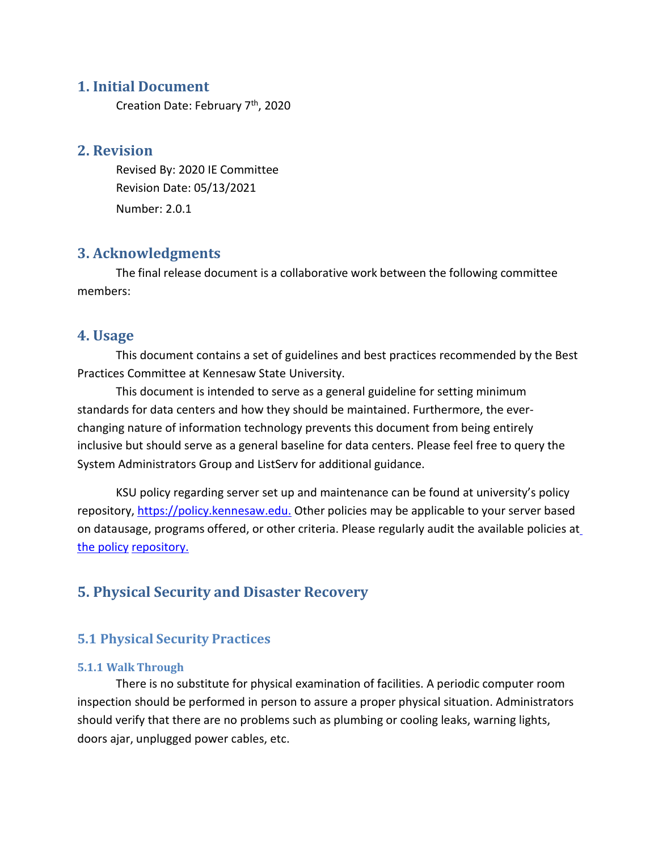# <span id="page-2-0"></span>**1. Initial Document**

Creation Date: February 7<sup>th</sup>, 2020

# <span id="page-2-1"></span>**2. Revision**

Revised By: 2020 IE Committee Revision Date: 05/13/2021 Number: 2.0.1

# <span id="page-2-2"></span>**3. Acknowledgments**

The final release document is a collaborative work between the following committee members:

# <span id="page-2-3"></span>**4. Usage**

This document contains a set of guidelines and best practices recommended by the Best Practices Committee at Kennesaw State University.

This document is intended to serve as a general guideline for setting minimum standards for data centers and how they should be maintained. Furthermore, the everchanging nature of information technology prevents this document from being entirely inclusive but should serve as a general baseline for data centers. Please feel free to query the System Administrators Group and ListServ for additional guidance.

KSU policy regarding server set up and maintenance can be found at university's policy repository, [https://policy.kennesaw.edu.](https://policy.kennesaw.edu/) Other policies may be applicable to your server based on datausage, programs offered, or other criteria. Please regularly audit the available policies at the policy repository.

# <span id="page-2-4"></span>**5. Physical Security and Disaster Recovery**

# <span id="page-2-6"></span><span id="page-2-5"></span>**5.1 Physical Security Practices**

#### **5.1.1 Walk Through**

There is no substitute for physical examination of facilities. A periodic computer room inspection should be performed in person to assure a proper physical situation. Administrators should verify that there are no problems such as plumbing or cooling leaks, warning lights, doors ajar, unplugged power cables, etc.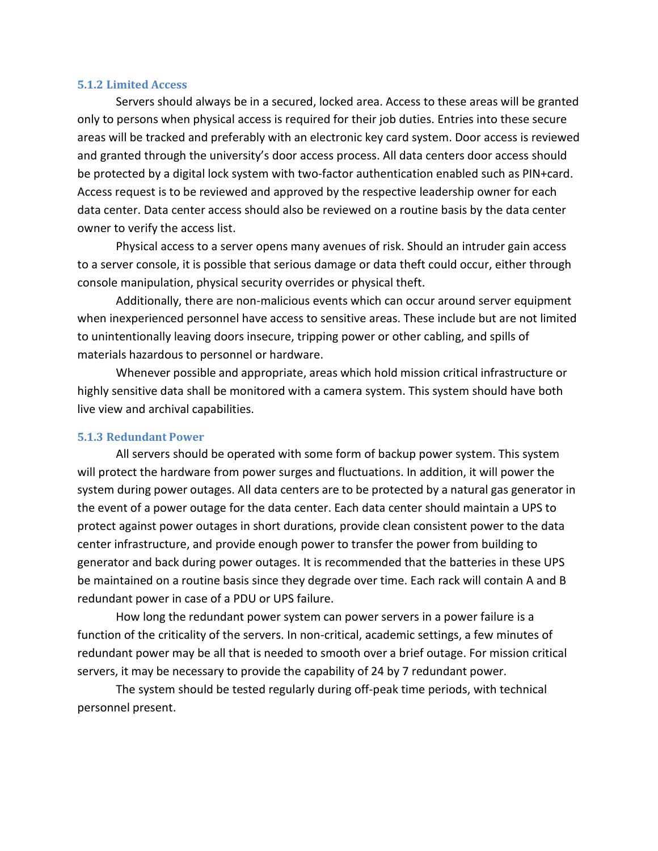#### <span id="page-3-0"></span>**5.1.2 Limited Access**

Servers should always be in a secured, locked area. Access to these areas will be granted only to persons when physical access is required for their job duties. Entries into these secure areas will be tracked and preferably with an electronic key card system. Door access is reviewed and granted through the university's door access process. All data centers door access should be protected by a digital lock system with two-factor authentication enabled such as PIN+card. Access request is to be reviewed and approved by the respective leadership owner for each data center. Data center access should also be reviewed on a routine basis by the data center owner to verify the access list.

Physical access to a server opens many avenues of risk. Should an intruder gain access to a server console, it is possible that serious damage or data theft could occur, either through console manipulation, physical security overrides or physical theft.

Additionally, there are non-malicious events which can occur around server equipment when inexperienced personnel have access to sensitive areas. These include but are not limited to unintentionally leaving doors insecure, tripping power or other cabling, and spills of materials hazardous to personnel or hardware.

Whenever possible and appropriate, areas which hold mission critical infrastructure or highly sensitive data shall be monitored with a camera system. This system should have both live view and archival capabilities.

#### <span id="page-3-1"></span>**5.1.3 Redundant Power**

All servers should be operated with some form of backup power system. This system will protect the hardware from power surges and fluctuations. In addition, it will power the system during power outages. All data centers are to be protected by a natural gas generator in the event of a power outage for the data center. Each data center should maintain a UPS to protect against power outages in short durations, provide clean consistent power to the data center infrastructure, and provide enough power to transfer the power from building to generator and back during power outages. It is recommended that the batteries in these UPS be maintained on a routine basis since they degrade over time. Each rack will contain A and B redundant power in case of a PDU or UPS failure.

How long the redundant power system can power servers in a power failure is a function of the criticality of the servers. In non-critical, academic settings, a few minutes of redundant power may be all that is needed to smooth over a brief outage. For mission critical servers, it may be necessary to provide the capability of 24 by 7 redundant power.

The system should be tested regularly during off-peak time periods, with technical personnel present.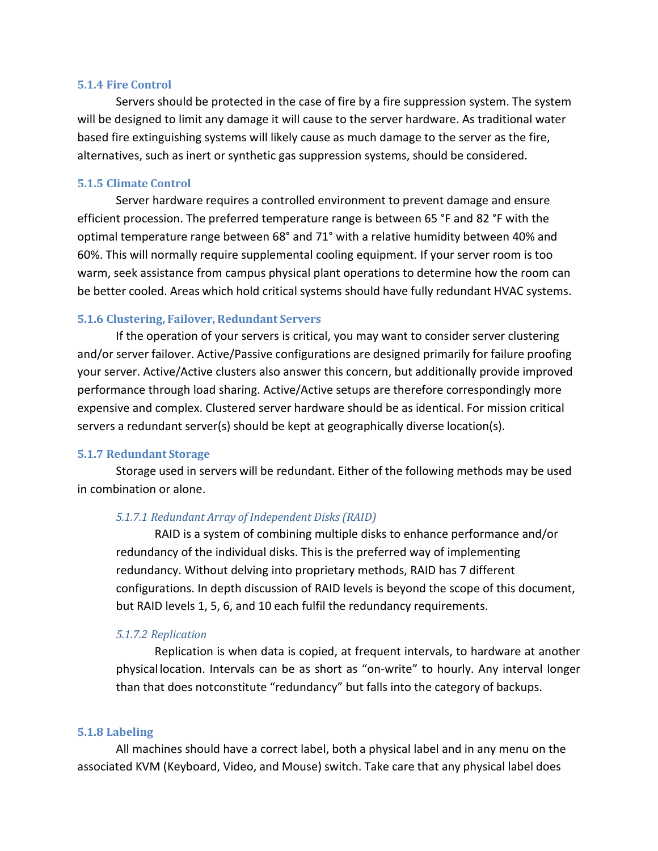#### <span id="page-4-0"></span>**5.1.4 Fire Control**

Servers should be protected in the case of fire by a fire suppression system. The system will be designed to limit any damage it will cause to the server hardware. As traditional water based fire extinguishing systems will likely cause as much damage to the server as the fire, alternatives, such as inert or synthetic gas suppression systems, should be considered.

#### <span id="page-4-1"></span>**5.1.5 Climate Control**

Server hardware requires a controlled environment to prevent damage and ensure efficient procession. The preferred temperature range is between 65 °F and 82 °F with the optimal temperature range between 68° and 71° with a relative humidity between 40% and 60%. This will normally require supplemental cooling equipment. If your server room is too warm, seek assistance from campus physical plant operations to determine how the room can be better cooled. Areas which hold critical systems should have fully redundant HVAC systems.

#### <span id="page-4-2"></span>**5.1.6 Clustering, Failover, Redundant Servers**

If the operation of your servers is critical, you may want to consider server clustering and/or server failover. Active/Passive configurations are designed primarily for failure proofing your server. Active/Active clusters also answer this concern, but additionally provide improved performance through load sharing. Active/Active setups are therefore correspondingly more expensive and complex. Clustered server hardware should be as identical. For mission critical servers a redundant server(s) should be kept at geographically diverse location(s).

#### <span id="page-4-3"></span>**5.1.7 Redundant Storage**

Storage used in servers will be redundant. Either of the following methods may be used in combination or alone.

#### *5.1.7.1 Redundant Array of Independent Disks (RAID)*

RAID is a system of combining multiple disks to enhance performance and/or redundancy of the individual disks. This is the preferred way of implementing redundancy. Without delving into proprietary methods, RAID has 7 different configurations. In depth discussion of RAID levels is beyond the scope of this document, but RAID levels 1, 5, 6, and 10 each fulfil the redundancy requirements.

#### *5.1.7.2 Replication*

Replication is when data is copied, at frequent intervals, to hardware at another physical location. Intervals can be as short as "on-write" to hourly. Any interval longer than that does notconstitute "redundancy" but falls into the category of backups.

#### <span id="page-4-4"></span>**5.1.8 Labeling**

All machines should have a correct label, both a physical label and in any menu on the associated KVM (Keyboard, Video, and Mouse) switch. Take care that any physical label does